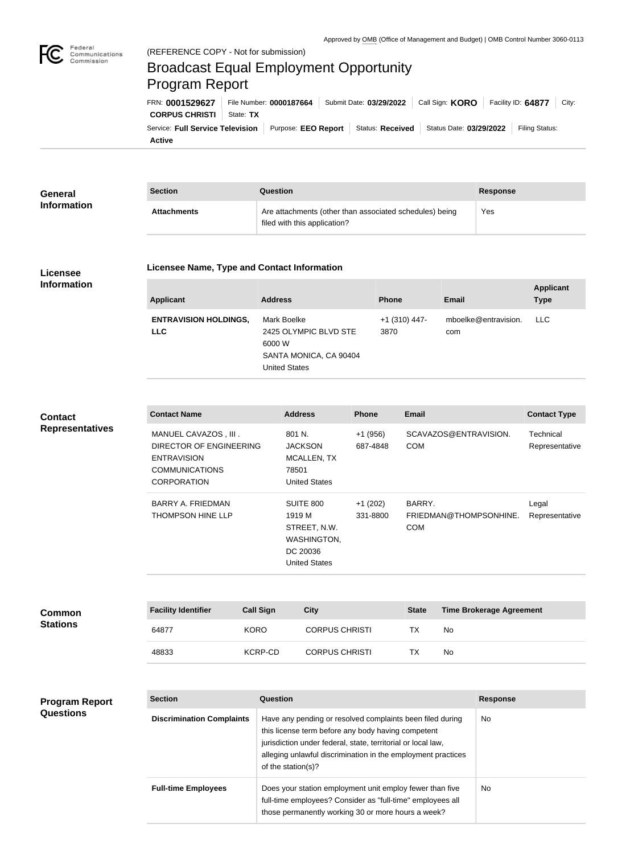

Federal

## Broadcast Equal Employment Opportunity Program Report

**Active** Service: Full Service Television | Purpose: EEO Report | Status: Received | Status Date: 03/29/2022 | Filing Status: **CORPUS CHRISTI** | State: TX FRN: **0001529627** File Number: **0000187664** Submit Date: **03/29/2022** Call Sign: **KORO** Facility ID: **64877** City:

| General            | <b>Section</b>     | Question                                                                                | Response |
|--------------------|--------------------|-----------------------------------------------------------------------------------------|----------|
| <b>Information</b> | <b>Attachments</b> | Are attachments (other than associated schedules) being<br>filed with this application? | Yes      |

## **Licensee Information**

**Program Report** 

**Questions**

## **Licensee Name, Type and Contact Information**

| <b>Applicant</b>                           | <b>Address</b>                                                                                   | <b>Phone</b>            | Email                       | <b>Applicant</b><br><b>Type</b> |
|--------------------------------------------|--------------------------------------------------------------------------------------------------|-------------------------|-----------------------------|---------------------------------|
| <b>ENTRAVISION HOLDINGS,</b><br><b>LLC</b> | Mark Boelke<br>2425 OLYMPIC BLVD STE<br>6000 W<br>SANTA MONICA, CA 90404<br><b>United States</b> | $+1$ (310) 447-<br>3870 | mboelke@entravision.<br>com | <b>LLC</b>                      |

**Contact Name Address Phone Email Contact Type** MANUEL CAVAZOS , III . DIRECTOR OF ENGINEERING ENTRAVISION COMMUNICATIONS **CORPORATION** 801 N. JACKSON MCALLEN, TX 78501 United States +1 (956) 687-4848 SCAVAZOS@ENTRAVISION. COM **Technical** Representative BARRY A. FRIEDMAN THOMPSON HINE LLP SUITE 800 1919 M STREET, N.W. WASHINGTON, DC 20036 United States +1 (202) 331-8800 BARRY. FRIEDMAN@THOMPSONHINE. Representative COM Legal **Contact Representatives**

| <b>Common</b>   | <b>Facility Identifier</b> | <b>Call Sign</b> | City                  | <b>State</b> | <b>Time Brokerage Agreement</b> |
|-----------------|----------------------------|------------------|-----------------------|--------------|---------------------------------|
| <b>Stations</b> | 64877                      | <b>KORO</b>      | <b>CORPUS CHRISTI</b> | ТX           | No                              |
|                 | 48833                      | KCRP-CD          | <b>CORPUS CHRISTI</b> | ТX           | No                              |

| <b>Section</b>                   | Question                                                                                                                                                                                                                                                              | <b>Response</b> |
|----------------------------------|-----------------------------------------------------------------------------------------------------------------------------------------------------------------------------------------------------------------------------------------------------------------------|-----------------|
| <b>Discrimination Complaints</b> | Have any pending or resolved complaints been filed during<br>this license term before any body having competent<br>jurisdiction under federal, state, territorial or local law,<br>alleging unlawful discrimination in the employment practices<br>of the station(s)? | No.             |
| <b>Full-time Employees</b>       | Does your station employment unit employ fewer than five<br>full-time employees? Consider as "full-time" employees all<br>those permanently working 30 or more hours a week?                                                                                          | <b>No</b>       |